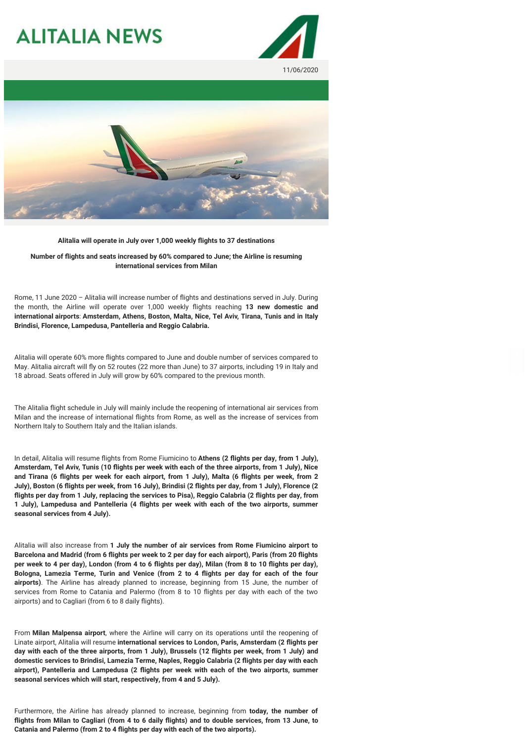## **ALITALIA NEWS**





**Alitalia will operate in July over 1,000 weekly flights to 37 destinations**

**Number of flights and seats increased by 60% compared to June; the Airline is resuming international services from Milan**

Rome, 11 June 2020 – Alitalia will increase number of flights and destinations served in July. During the month, the Airline will operate over 1,000 weekly flights reaching **13 new domestic and international airports**: **Amsterdam, Athens, Boston, Malta, Nice, Tel Aviv, Tirana, Tunis and in Italy Brindisi, Florence, Lampedusa, Pantelleria and Reggio Calabria.**

Alitalia will operate 60% more flights compared to June and double number of services compared to May. Alitalia aircraft will fly on 52 routes (22 more than June) to 37 airports, including 19 in Italy and 18 abroad. Seats offered in July will grow by 60% compared to the previous month.

The Alitalia flight schedule in July will mainly include the reopening of international air services from Milan and the increase of international flights from Rome, as well as the increase of services from Northern Italy to Southern Italy and the Italian islands.

In detail, Alitalia will resume flights from Rome Fiumicino to **Athens (2 flights per day, from 1 July), Amsterdam, Tel Aviv, Tunis (10 flights per week with each of the three airports, from 1 July), Nice and Tirana (6 flights per week for each airport, from 1 July), Malta (6 flights per week, from 2 July), Boston (6 flights per week, from 16 July), Brindisi (2 flights per day, from 1 July), Florence (2 flights per day from 1 July, replacing the services to Pisa), Reggio Calabria (2 flights per day, from 1 July), Lampedusa and Pantelleria (4 flights per week with each of the two airports, summer seasonal services from 4 July).**

Alitalia will also increase from **1 July the number of air services from Rome Fiumicino airport to Barcelona and Madrid (from 6 flights per week to 2 per day for each airport), Paris (from 20 flights per week to 4 per day), London (from 4 to 6 flights per day), Milan (from 8 to 10 flights per day), Bologna, Lamezia Terme, Turin and Venice (from 2 to 4 flights per day for each of the four airports)**. The Airline has already planned to increase, beginning from 15 June, the number of services from Rome to Catania and Palermo (from 8 to 10 flights per day with each of the two airports) and to Cagliari (from 6 to 8 daily flights).

From **Milan Malpensa airport**, where the Airline will carry on its operations until the reopening of Linate airport, Alitalia will resume **international services to London, Paris, Amsterdam (2 flights per day with each of the three airports, from 1 July), Brussels (12 flights per week, from 1 July) and domestic services to Brindisi, Lamezia Terme, Naples, Reggio Calabria (2 flights per day with each airport), Pantelleria and Lampedusa (2 flights per week with each of the two airports, summer seasonal services which will start, respectively, from 4 and 5 July).**

Furthermore, the Airline has already planned to increase, beginning from **today, the number of flights from Milan to Cagliari (from 4 to 6 daily flights) and to double services, from 13 June, to Catania and Palermo (from 2 to 4 flights per day with each of the two airports).**